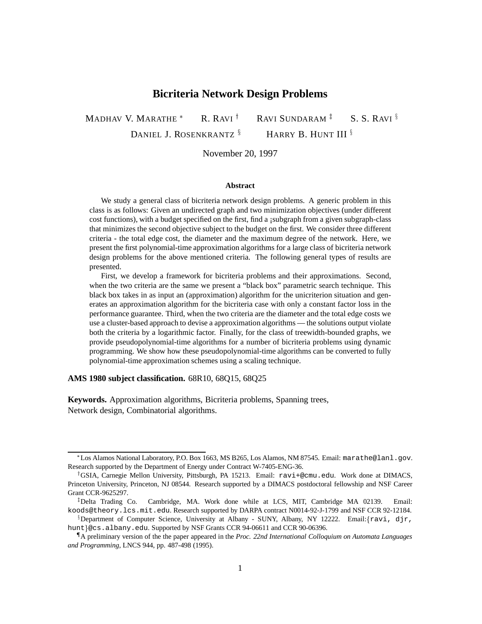# **Bicriteria Network Design Problems**

MADHAV V. MARATHE  $R. RAVI^{\dagger}$ RAVI SUNDARAM<sup>#</sup> S. S. RAVI  $\frac{8}{3}$ DANIEL J. ROSENKRANTZ  $\S$  HARRY B. HUNT III  $\S$ 

November 20, 1997

#### **Abstract**

We study a general class of bicriteria network design problems. A generic problem in this class is as follows: Given an undirected graph and two minimization objectives (under different cost functions), with a budget specified on the first, find a ¡subgraph from a given subgraph-class that minimizes the second objective subject to the budget on the first. We consider three different criteria - the total edge cost, the diameter and the maximum degree of the network. Here, we present the first polynomial-time approximation algorithms for a large class of bicriteria network design problems for the above mentioned criteria. The following general types of results are presented.

First, we develop a framework for bicriteria problems and their approximations. Second, when the two criteria are the same we present a "black box" parametric search technique. This black box takes in as input an (approximation) algorithm for the unicriterion situation and generates an approximation algorithm for the bicriteria case with only a constant factor loss in the performance guarantee. Third, when the two criteria are the diameter and the total edge costs we use a cluster-based approach to devise a approximation algorithms — the solutions output violate both the criteria by a logarithmic factor. Finally, for the class of treewidth-bounded graphs, we provide pseudopolynomial-time algorithms for a number of bicriteria problems using dynamic programming. We show how these pseudopolynomial-time algorithms can be converted to fully polynomial-time approximation schemes using a scaling technique.

**AMS 1980 subject classification.** 68R10, 68Q15, 68Q25

**Keywords.** Approximation algorithms, Bicriteria problems, Spanning trees, Network design, Combinatorial algorithms.

Los Alamos National Laboratory, P.O. Box 1663, MS B265, Los Alamos, NM 87545. Email: marathe@lanl.gov. Research supported by the Department of Energy under Contract W-7405-ENG-36.

<sup>&</sup>lt;sup>†</sup>GSIA, Carnegie Mellon University, Pittsburgh, PA 15213. Email: ravi+@cmu.edu. Work done at DIMACS, Princeton University, Princeton, NJ 08544. Research supported by a DIMACS postdoctoral fellowship and NSF Career Grant CCR-9625297.

<sup>&</sup>lt;sup>‡</sup>Delta Trading Co. Cambridge, MA. Work done while at LCS, MIT, Cambridge MA 02139. Email: koods@theory.lcs.mit.edu. Research supported by DARPA contract N0014-92-J-1799 and NSF CCR 92-12184.

Bepartment of Computer Science, University at Albany - SUNY, Albany, NY 12222. Email: {ravi, djr, hunt}@cs.albany.edu. Supported by NSF Grants CCR 94-06611 and CCR 90-06396.

<sup>{</sup> A preliminary version of the the paper appeared in the *Proc. 22nd International Colloquium on Automata Languages and Programming*, LNCS 944, pp. 487-498 (1995).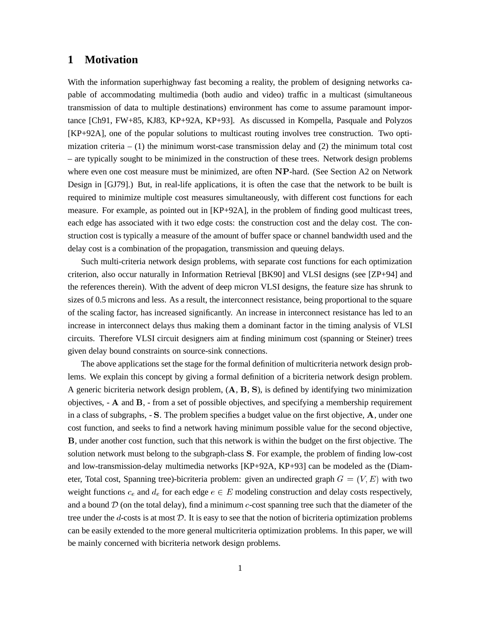# **1 Motivation**

With the information superhighway fast becoming a reality, the problem of designing networks capable of accommodating multimedia (both audio and video) traffic in a multicast (simultaneous transmission of data to multiple destinations) environment has come to assume paramount importance [Ch91, FW+85, KJ83, KP+92A, KP+93]. As discussed in Kompella, Pasquale and Polyzos [KP+92A], one of the popular solutions to multicast routing involves tree construction. Two optimization criteria  $- (1)$  the minimum worst-case transmission delay and  $(2)$  the minimum total cost – are typically sought to be minimized in the construction of these trees. Network design problems where even one cost measure must be minimized, are often NP-hard. (See Section A2 on Network Design in [GJ79].) But, in real-life applications, it is often the case that the network to be built is required to minimize multiple cost measures simultaneously, with different cost functions for each measure. For example, as pointed out in [KP+92A], in the problem of finding good multicast trees, each edge has associated with it two edge costs: the construction cost and the delay cost. The construction cost is typically a measure of the amount of buffer space or channel bandwidth used and the delay cost is a combination of the propagation, transmission and queuing delays.

Such multi-criteria network design problems, with separate cost functions for each optimization criterion, also occur naturally in Information Retrieval [BK90] and VLSI designs (see [ZP+94] and the references therein). With the advent of deep micron VLSI designs, the feature size has shrunk to sizes of 0.5 microns and less. As a result, the interconnect resistance, being proportional to the square of the scaling factor, has increased significantly. An increase in interconnect resistance has led to an increase in interconnect delays thus making them a dominant factor in the timing analysis of VLSI circuits. Therefore VLSI circuit designers aim at finding minimum cost (spanning or Steiner) trees given delay bound constraints on source-sink connections.

The above applications set the stage for the formal definition of multicriteria network design problems. We explain this concept by giving a formal definition of a bicriteria network design problem. A generic bicriteria network design problem,  $(A, B, S)$ , is defined by identifying two minimization objectives, - <sup>A</sup> and <sup>B</sup>, - from a set of possible objectives, and specifying a membership requirement in a class of subgraphs, - S. The problem specifies a budget value on the first objective, <sup>A</sup>, under one cost function, and seeks to find a network having minimum possible value for the second objective, <sup>B</sup>, under another cost function, such that this network is within the budget on the first objective. The solution network must belong to the subgraph-class S. For example, the problem of finding low-cost and low-transmission-delay multimedia networks [KP+92A, KP+93] can be modeled as the (Diameter, Total cost, Spanning tree)-bicriteria problem: given an undirected graph  $G = (V, E)$  with two weight functions  $c_e$  and  $d_e$  for each edge  $e \in E$  modeling construction and delay costs respectively, and a bound  $\mathcal D$  (on the total delay), find a minimum c-cost spanning tree such that the diameter of the tree under the d-costs is at most  $D$ . It is easy to see that the notion of bicriteria optimization problems can be easily extended to the more general multicriteria optimization problems. In this paper, we will be mainly concerned with bicriteria network design problems.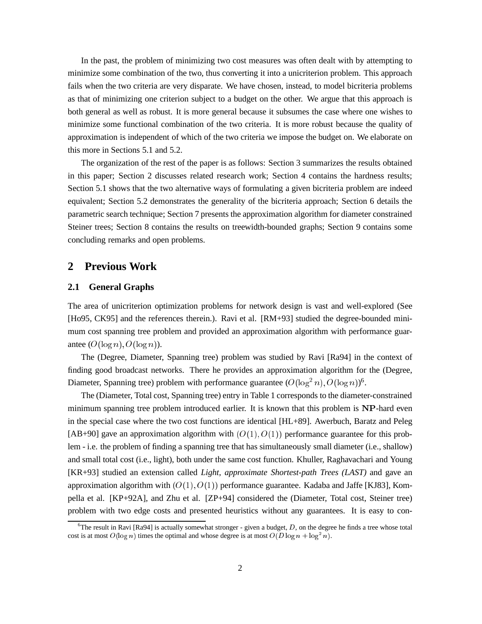In the past, the problem of minimizing two cost measures was often dealt with by attempting to minimize some combination of the two, thus converting it into a unicriterion problem. This approach fails when the two criteria are very disparate. We have chosen, instead, to model bicriteria problems as that of minimizing one criterion subject to a budget on the other. We argue that this approach is both general as well as robust. It is more general because it subsumes the case where one wishes to minimize some functional combination of the two criteria. It is more robust because the quality of approximation is independent of which of the two criteria we impose the budget on. We elaborate on this more in Sections 5.1 and 5.2.

The organization of the rest of the paper is as follows: Section 3 summarizes the results obtained in this paper; Section 2 discusses related research work; Section 4 contains the hardness results; Section 5.1 shows that the two alternative ways of formulating a given bicriteria problem are indeed equivalent; Section 5.2 demonstrates the generality of the bicriteria approach; Section 6 details the parametric search technique; Section 7 presents the approximation algorithm for diameter constrained Steiner trees; Section 8 contains the results on treewidth-bounded graphs; Section 9 contains some concluding remarks and open problems.

# **2 Previous Work**

### **2.1 General Graphs**

The area of unicriterion optimization problems for network design is vast and well-explored (See [Ho95, CK95] and the references therein.). Ravi et al. [RM+93] studied the degree-bounded minimum cost spanning tree problem and provided an approximation algorithm with performance guarantee  $(O(\log n), O(\log n))$ .

The (Degree, Diameter, Spanning tree) problem was studied by Ravi [Ra94] in the context of finding good broadcast networks. There he provides an approximation algorithm for the (Degree, Diameter, Spanning tree) problem with performance guarantee  $(O(\log^2 n), O(\log n))^6$ .

The (Diameter, Total cost, Spanning tree) entry in Table 1 corresponds to the diameter-constrained minimum spanning tree problem introduced earlier. It is known that this problem is NP-hard even in the special case where the two cost functions are identical [HL+89]. Awerbuch, Baratz and Peleg [AB+90] gave an approximation algorithm with  $(O(1), O(1))$  performance guarantee for this problem - i.e. the problem of finding a spanning tree that has simultaneously small diameter (i.e., shallow) and small total cost (i.e., light), both under the same cost function. Khuller, Raghavachari and Young [KR+93] studied an extension called *Light, approximate Shortest-path Trees (LAST)* and gave an approximation algorithm with  $(O(1), O(1))$  performance guarantee. Kadaba and Jaffe [KJ83], Kompella et al. [KP+92A], and Zhu et al. [ZP+94] considered the (Diameter, Total cost, Steiner tree) problem with two edge costs and presented heuristics without any guarantees. It is easy to con-

<sup>&</sup>lt;sup>6</sup>The result in Ravi [Ra94] is actually somewhat stronger - given a budget, D, on the degree he finds a tree whose total cost is at most  $O(\log n)$  times the optimal and whose degree is at most  $O(D \log n + \log^2 n)$ .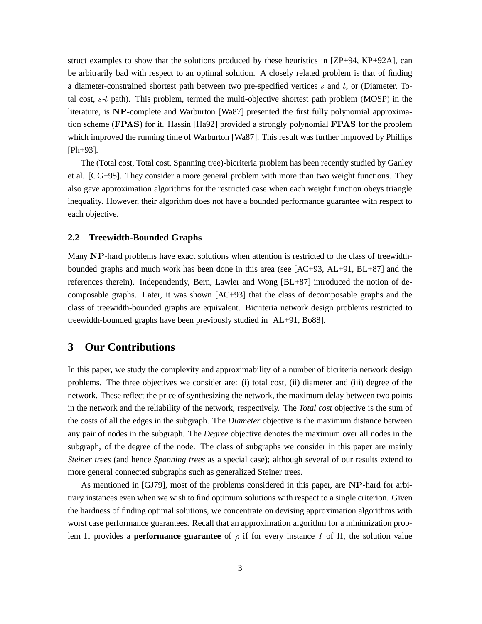struct examples to show that the solutions produced by these heuristics in [ZP+94, KP+92A], can be arbitrarily bad with respect to an optimal solution. A closely related problem is that of finding a diameter-constrained shortest path between two pre-specified vertices  $s$  and  $t$ , or (Diameter, Total cost, s-t path). This problem, termed the multi-objective shortest path problem (MOSP) in the literature, is NP-complete and Warburton [Wa87] presented the first fully polynomial approximation scheme (FPAS) for it. Hassin [Ha92] provided a strongly polynomial FPAS for the problem which improved the running time of Warburton [Wa87]. This result was further improved by Phillips [Ph+93].

The (Total cost, Total cost, Spanning tree)-bicriteria problem has been recently studied by Ganley et al. [GG+95]. They consider a more general problem with more than two weight functions. They also gave approximation algorithms for the restricted case when each weight function obeys triangle inequality. However, their algorithm does not have a bounded performance guarantee with respect to each objective.

#### **2.2 Treewidth-Bounded Graphs**

Many NP-hard problems have exact solutions when attention is restricted to the class of treewidthbounded graphs and much work has been done in this area (see [AC+93, AL+91, BL+87] and the references therein). Independently, Bern, Lawler and Wong [BL+87] introduced the notion of decomposable graphs. Later, it was shown [AC+93] that the class of decomposable graphs and the class of treewidth-bounded graphs are equivalent. Bicriteria network design problems restricted to treewidth-bounded graphs have been previously studied in [AL+91, Bo88].

# **3 Our Contributions**

In this paper, we study the complexity and approximability of a number of bicriteria network design problems. The three objectives we consider are: (i) total cost, (ii) diameter and (iii) degree of the network. These reflect the price of synthesizing the network, the maximum delay between two points in the network and the reliability of the network, respectively. The *Total cost* objective is the sum of the costs of all the edges in the subgraph. The *Diameter* objective is the maximum distance between any pair of nodes in the subgraph. The *Degree* objective denotes the maximum over all nodes in the subgraph, of the degree of the node. The class of subgraphs we consider in this paper are mainly *Steiner trees* (and hence *Spanning trees* as a special case); although several of our results extend to more general connected subgraphs such as generalized Steiner trees.

As mentioned in [GJ79], most of the problems considered in this paper, are NP-hard for arbitrary instances even when we wish to find optimum solutions with respect to a single criterion. Given the hardness of finding optimal solutions, we concentrate on devising approximation algorithms with worst case performance guarantees. Recall that an approximation algorithm for a minimization problem  $\Pi$  provides a **performance guarantee** of  $\rho$  if for every instance I of  $\Pi$ , the solution value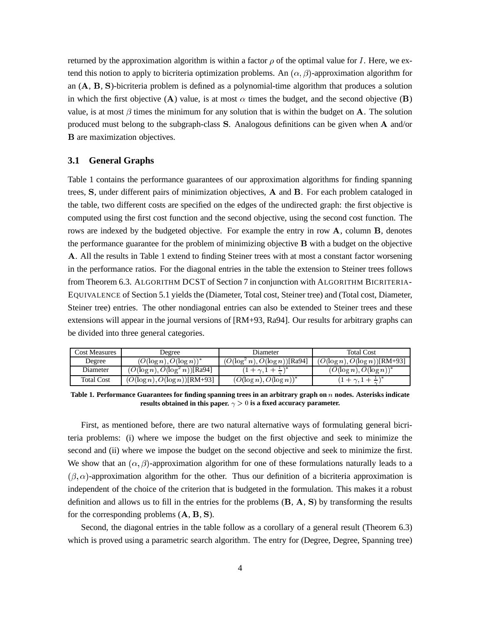returned by the approximation algorithm is within a factor  $\rho$  of the optimal value for I. Here, we extend this notion to apply to bicriteria optimization problems. An  $(\alpha, \beta)$ -approximation algorithm for an (A, <sup>B</sup>, S)-bicriteria problem is defined as a polynomial-time algorithm that produces a solution in which the first objective (A) value, is at most  $\alpha$  times the budget, and the second objective (B) value, is at most  $\beta$  times the minimum for any solution that is within the budget on A. The solution produced must belong to the subgraph-class S. Analogous definitions can be given when <sup>A</sup> and/or <sup>B</sup> are maximization objectives.

## **3.1 General Graphs**

Table 1 contains the performance guarantees of our approximation algorithms for finding spanning trees, S, under different pairs of minimization objectives, <sup>A</sup> and <sup>B</sup>. For each problem cataloged in the table, two different costs are specified on the edges of the undirected graph: the first objective is computed using the first cost function and the second objective, using the second cost function. The rows are indexed by the budgeted objective. For example the entry in row A, column B, denotes the performance guarantee for the problem of minimizing objective <sup>B</sup> with a budget on the objective <sup>A</sup>. All the results in Table 1 extend to finding Steiner trees with at most a constant factor worsening in the performance ratios. For the diagonal entries in the table the extension to Steiner trees follows from Theorem 6.3. ALGORITHM DCST of Section 7 in conjunction with ALGORITHM BICRITERIA-EQUIVALENCE of Section 5.1 yields the (Diameter, Total cost, Steiner tree) and (Total cost, Diameter, Steiner tree) entries. The other nondiagonal entries can also be extended to Steiner trees and these extensions will appear in the journal versions of [RM+93, Ra94]. Our results for arbitrary graphs can be divided into three general categories.

| Cost Measures | Degree                            | Diameter                           | <b>Total Cost</b>                 |
|---------------|-----------------------------------|------------------------------------|-----------------------------------|
| Degree        | $(O(\log n), O(\log n))^*$        | $(O(\log^2 n), O(\log n))$ [Ra94]  | $(O(\log n), O(\log n))$ [RM+93]  |
| Diameter      | $(O(\log n), O(\log^2 n))$ [Ra94] | $(1+\gamma, 1+\frac{1}{\alpha})^*$ | $(O(\log n), O(\log n))^*$        |
| Total Cost    | $(O(\log n), O(\log n))$ [RM+93]  | $(O(\log n), O(\log n))^*$         | $(1+\gamma,1+\frac{1}{\gamma})^*$ |

**Table 1. Performance Guarantees for finding spanning trees in an arbitrary graph on** <sup>n</sup> **nodes. Asterisks indicate** results obtained in this paper.  $\gamma > 0$  is a fixed accuracy parameter.

First, as mentioned before, there are two natural alternative ways of formulating general bicriteria problems: (i) where we impose the budget on the first objective and seek to minimize the second and (ii) where we impose the budget on the second objective and seek to minimize the first. We show that an  $(\alpha, \beta)$ -approximation algorithm for one of these formulations naturally leads to a  $(\beta, \alpha)$ -approximation algorithm for the other. Thus our definition of a bicriteria approximation is independent of the choice of the criterion that is budgeted in the formulation. This makes it a robust definition and allows us to fill in the entries for the problems (B, <sup>A</sup>, S) by transforming the results for the corresponding problems (A, <sup>B</sup>, S).

Second, the diagonal entries in the table follow as a corollary of a general result (Theorem 6.3) which is proved using a parametric search algorithm. The entry for (Degree, Degree, Spanning tree)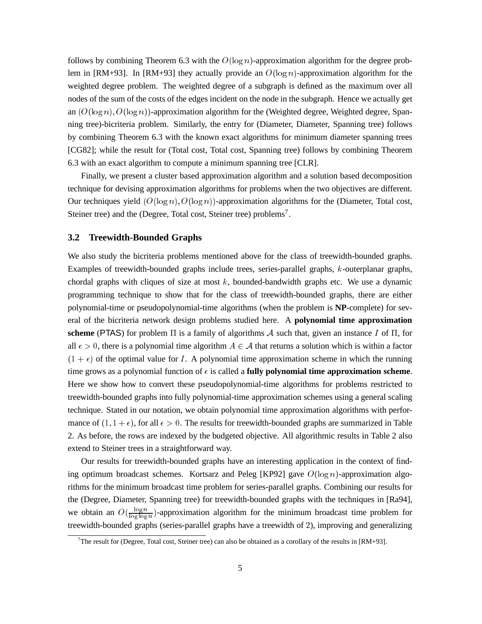follows by combining Theorem 6.3 with the  $O(\log n)$ -approximation algorithm for the degree problem in [RM+93]. In [RM+93] they actually provide an  $O(\log n)$ -approximation algorithm for the weighted degree problem. The weighted degree of a subgraph is defined as the maximum over all nodes of the sum of the costs of the edges incident on the node in the subgraph. Hence we actually get an  $(O(\log n), O(\log n))$ -approximation algorithm for the (Weighted degree, Weighted degree, Spanning tree)-bicriteria problem. Similarly, the entry for (Diameter, Diameter, Spanning tree) follows by combining Theorem 6.3 with the known exact algorithms for minimum diameter spanning trees [CG82]; while the result for (Total cost, Total cost, Spanning tree) follows by combining Theorem 6.3 with an exact algorithm to compute a minimum spanning tree [CLR].

Finally, we present a cluster based approximation algorithm and a solution based decomposition technique for devising approximation algorithms for problems when the two objectives are different. Our techniques yield  $(O(\log n), O(\log n))$ -approximation algorithms for the (Diameter, Total cost, Steiner tree) and the (Degree, Total cost, Steiner tree) problems<sup>7</sup>.

### **3.2 Treewidth-Bounded Graphs**

We also study the bicriteria problems mentioned above for the class of treewidth-bounded graphs. Examples of treewidth-bounded graphs include trees, series-parallel graphs, k-outerplanar graphs, chordal graphs with cliques of size at most  $k$ , bounded-bandwidth graphs etc. We use a dynamic programming technique to show that for the class of treewidth-bounded graphs, there are either polynomial-time or pseudopolynomial-time algorithms (when the problem is **NP**-complete) for several of the bicriteria network design problems studied here. A **polynomial time approximation** scheme (PTAS) for problem  $\Pi$  is a family of algorithms  $A$  such that, given an instance  $I$  of  $\Pi$ , for all  $\epsilon > 0$ , there is a polynomial time algorithm  $A \in \mathcal{A}$  that returns a solution which is within a factor  $(1 + \epsilon)$  of the optimal value for I. A polynomial time approximation scheme in which the running time grows as a polynomial function of  $\epsilon$  is called a **fully polynomial time approximation scheme**. Here we show how to convert these pseudopolynomial-time algorithms for problems restricted to treewidth-bounded graphs into fully polynomial-time approximation schemes using a general scaling technique. Stated in our notation, we obtain polynomial time approximation algorithms with performance of  $(1, 1 + \epsilon)$ , for all  $\epsilon > 0$ . The results for treewidth-bounded graphs are summarized in Table 2. As before, the rows are indexed by the budgeted objective. All algorithmic results in Table 2 also extend to Steiner trees in a straightforward way.

Our results for treewidth-bounded graphs have an interesting application in the context of finding optimum broadcast schemes. Kortsarz and Peleg [KP92] gave  $O(\log n)$ -approximation algorithms for the minimum broadcast time problem for series-parallel graphs. Combining our results for the (Degree, Diameter, Spanning tree) for treewidth-bounded graphs with the techniques in [Ra94], we obtain an  $O(\frac{\log n}{\log \log n})$  $\frac{\log n}{\log \log n}$ )-approximation algorithm for the minimum broadcast time problem for treewidth-bounded graphs (series-parallel graphs have a treewidth of <sup>2</sup>), improving and generalizing

<sup>&</sup>lt;sup>7</sup>The result for (Degree, Total cost, Steiner tree) can also be obtained as a corollary of the results in [RM+93].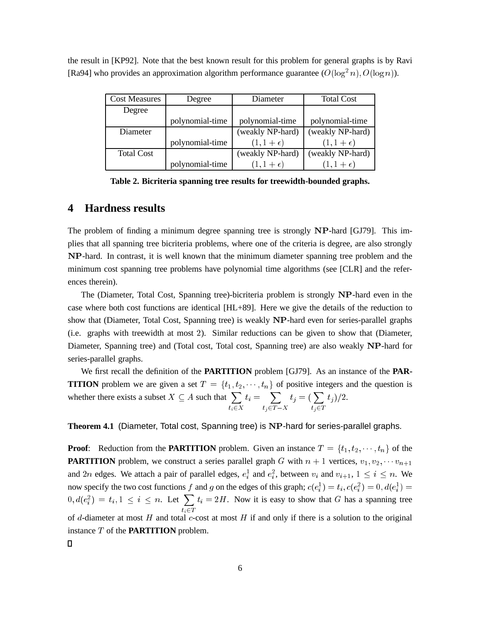| <b>Cost Measures</b> | Degree          | Diameter            | <b>Total Cost</b>   |
|----------------------|-----------------|---------------------|---------------------|
| Degree               |                 |                     |                     |
|                      | polynomial-time | polynomial-time     | polynomial-time     |
| Diameter             |                 | (weakly NP-hard)    | (weakly NP-hard)    |
|                      | polynomial-time | $(1, 1 + \epsilon)$ | $(1, 1 + \epsilon)$ |
| <b>Total Cost</b>    |                 | (weakly NP-hard)    | (weakly NP-hard)    |
|                      | polynomial-time | $(1, 1 + \epsilon)$ | $(1, 1 + \epsilon)$ |

the result in [KP92]. Note that the best known result for this problem for general graphs is by Ravi [Ra94] who provides an approximation algorithm performance guarantee  $(O(\log^2 n), O(\log n))$ .

**Table 2. Bicriteria spanning tree results for treewidth-bounded graphs.**

# **4 Hardness results**

The problem of finding a minimum degree spanning tree is strongly NP-hard [GJ79]. This implies that all spanning tree bicriteria problems, where one of the criteria is degree, are also strongly NP-hard. In contrast, it is well known that the minimum diameter spanning tree problem and the minimum cost spanning tree problems have polynomial time algorithms (see [CLR] and the references therein).

The (Diameter, Total Cost, Spanning tree)-bicriteria problem is strongly NP-hard even in the case where both cost functions are identical [HL+89]. Here we give the details of the reduction to show that (Diameter, Total Cost, Spanning tree) is weakly NP-hard even for series-parallel graphs (i.e. graphs with treewidth at most <sup>2</sup>). Similar reductions can be given to show that (Diameter, Diameter, Spanning tree) and (Total cost, Total cost, Spanning tree) are also weakly NP-hard for series-parallel graphs.

We first recall the definition of the **PARTITION** problem [GJ79]. As an instance of the **PAR-TITION** problem we are given a set  $T = \{t_1, t_2, \dots, t_n\}$  of positive integers and the question is whether there exists a subset  $X \subseteq A$  such that  $\sum$  $\cdot$  .  $\sim$  -  $\sim$  $t_i = \sum$ tj 2T X  $t_i = (\sum$ <u>t</u> 2T  $t_j)/2.$ 

**Theorem 4.1** (Diameter, Total cost, Spanning tree) is NP-hard for series-parallel graphs.

**Proof:** Reduction from the **PARTITION** problem. Given an instance  $T = \{t_1, t_2, \dots, t_n\}$  of the **PARTITION** problem, we construct a series parallel graph G with  $n + 1$  vertices,  $v_1, v_2, \cdots v_{n+1}$ and 2n edges. We attach a pair of parallel edges,  $e_i^1$  and  $e_i^2$ , between  $v_i$  and  $v_{i+1}$ ,  $1 \le i \le n$ . We now specify the two cost functions f and g on the edges of this graph;  $c(e_i^1) = t_i$ ,  $c(e_i^2) = 0$ ,  $d(e_i^1) =$  $0, d(e_i^2) = t_i, 1 \leq i \leq n$ . Let  $\sum$  $t_1 = 1$  $t_i = 2H$ . Now it is easy to show that G has a spanning tree of d-diameter at most H and total c-cost at most H if and only if there is a solution to the original instance T of the **PARTITION** problem.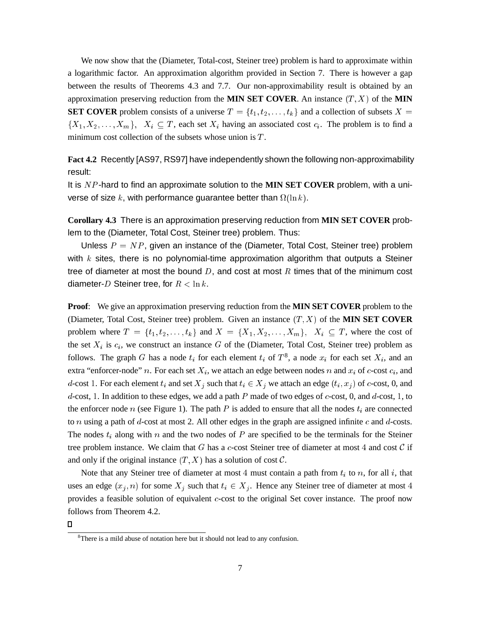We now show that the (Diameter, Total-cost, Steiner tree) problem is hard to approximate within a logarithmic factor. An approximation algorithm provided in Section 7. There is however a gap between the results of Theorems 4.3 and 7.7. Our non-approximability result is obtained by an approximation preserving reduction from the **MIN SET COVER**. An instance  $(T, X)$  of the **MIN SET COVER** problem consists of a universe  $T = \{t_1, t_2, \ldots, t_k\}$  and a collection of subsets  $X =$  $\{X_1, X_2, \ldots, X_m\},\; X_i \subseteq T$ , each set  $X_i$  having an associated cost  $c_i$ . The problem is to find a minimum cost collection of the subsets whose union is  $T$ .

**Fact 4.2** Recently [AS97, RS97] have independently shown the following non-approximability result:

It is N P -hard to find an approximate solution to the **MIN SET COVER** problem, with a universe of size k, with performance guarantee better than  $\Omega(\ln k)$ .

**Corollary 4.3** There is an approximation preserving reduction from **MIN SET COVER** problem to the (Diameter, Total Cost, Steiner tree) problem. Thus:

Unless  $P = NP$ , given an instance of the (Diameter, Total Cost, Steiner tree) problem with  $k$  sites, there is no polynomial-time approximation algorithm that outputs a Steiner tree of diameter at most the bound  $D$ , and cost at most  $R$  times that of the minimum cost diameter-D Steiner tree, for  $R < \ln k$ .

**Proof**: We give an approximation preserving reduction from the **MIN SET COVER** problem to the (Diameter, Total Cost, Steiner tree) problem. Given an instance  $(T, X)$  of the **MIN SET COVER** problem where  $T = \{t_1, t_2, \ldots, t_k\}$  and  $X = \{X_1, X_2, \ldots, X_m\}$ ,  $X_i \subseteq T$ , where the cost of the set  $X_i$  is  $c_i$ , we construct an instance G of the (Diameter, Total Cost, Steiner tree) problem as follows. The graph G has a node  $t_i$  for each element  $t_i$  of  $T^8$ , a node  $x_i$  for each set  $X_i$ , and an extra "enforcer-node" n. For each set  $X_i$ , we attach an edge between nodes n and  $x_i$  of c-cost  $c_i$ , and d-cost 1. For each element  $t_i$  and set  $X_j$  such that  $t_i \in X_j$  we attach an edge  $(t_i, x_j)$  of c-cost, 0, and  $d$ -cost, 1. In addition to these edges, we add a path P made of two edges of  $c$ -cost, 0, and  $d$ -cost, 1, to the enforcer node n (see Figure 1). The path P is added to ensure that all the nodes  $t_i$  are connected to n using a path of d-cost at most 2. All other edges in the graph are assigned infinite c and d-costs. The nodes  $t_i$  along with n and the two nodes of P are specified to be the terminals for the Steiner tree problem instance. We claim that G has a c-cost Steiner tree of diameter at most 4 and cost  $\mathcal C$  if and only if the original instance  $(T, X)$  has a solution of cost  $\mathcal{C}$ .

Note that any Steiner tree of diameter at most 4 must contain a path from  $t_i$  to n, for all i, that uses an edge  $(x_i, n)$  for some  $X_i$  such that  $t_i \in X_i$ . Hence any Steiner tree of diameter at most 4 provides a feasible solution of equivalent c-cost to the original Set cover instance. The proof now follows from Theorem 4.2.

 $\Box$ 

<sup>&</sup>lt;sup>8</sup>There is a mild abuse of notation here but it should not lead to any confusion.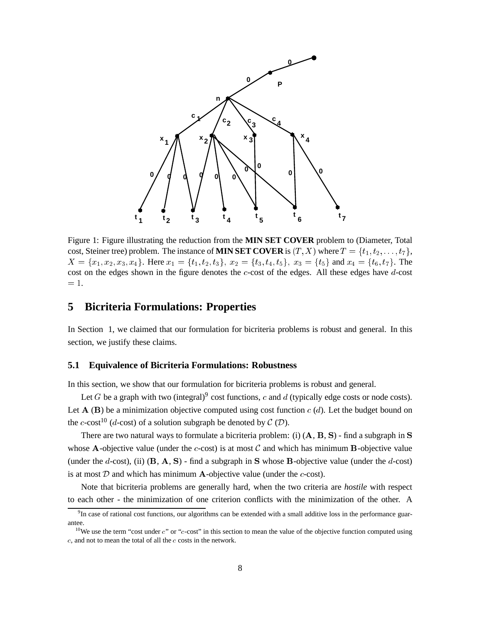

Figure 1: Figure illustrating the reduction from the **MIN SET COVER** problem to (Diameter, Total cost, Steiner tree) problem. The instance of **MIN SET COVER** is  $(T, X)$  where  $T = \{t_1, t_2, \ldots, t_7\}$ ,  $X = \{x_1, x_2, x_3, x_4\}.$  Here  $x_1 = \{t_1, t_2, t_3\}, x_2 = \{t_3, t_4, t_5\}, x_3 = \{t_5\}$  and  $x_4 = \{t_6, t_7\}.$  The cost on the edges shown in the figure denotes the c-cost of the edges. All these edges have d-cost  $= 1.$ 

# **5 Bicriteria Formulations: Properties**

In Section 1, we claimed that our formulation for bicriteria problems is robust and general. In this section, we justify these claims.

#### **5.1 Equivalence of Bicriteria Formulations: Robustness**

In this section, we show that our formulation for bicriteria problems is robust and general.

Let G be a graph with two (integral)<sup>9</sup> cost functions, c and d (typically edge costs or node costs). Let  $A$  (B) be a minimization objective computed using cost function  $c$  (d). Let the budget bound on the c-cost<sup>10</sup> (d-cost) of a solution subgraph be denoted by  $C(D)$ .

There are two natural ways to formulate a bicriteria problem: (i)  $(A, B, S)$  - find a subgraph in S whose A-objective value (under the c-cost) is at most  $C$  and which has minimum B-objective value (under the d-cost), (ii)  $(B, A, S)$  - find a subgraph in S whose B-objective value (under the d-cost) is at most  $D$  and which has minimum A-objective value (under the  $c$ -cost).

Note that bicriteria problems are generally hard, when the two criteria are *hostile* with respect to each other - the minimization of one criterion conflicts with the minimization of the other. A

<sup>&</sup>lt;sup>9</sup>In case of rational cost functions, our algorithms can be extended with a small additive loss in the performance guarantee.

<sup>&</sup>lt;sup>10</sup>We use the term "cost under  $c$ " or "c-cost" in this section to mean the value of the objective function computed using <sup>c</sup>, and not to mean the total of all the <sup>c</sup> costs in the network.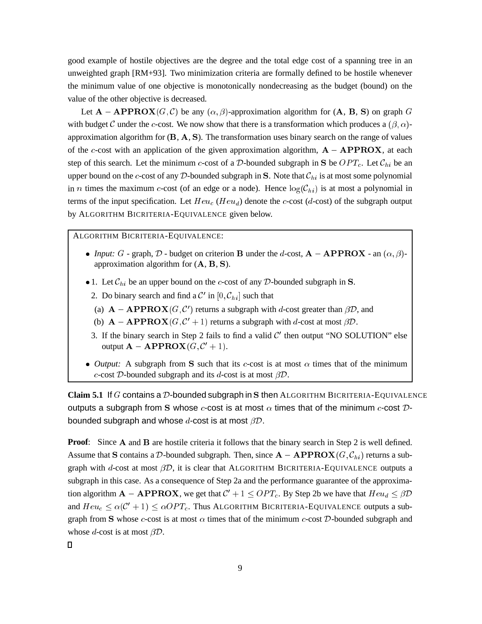good example of hostile objectives are the degree and the total edge cost of a spanning tree in an unweighted graph [RM+93]. Two minimization criteria are formally defined to be hostile whenever the minimum value of one objective is monotonically nondecreasing as the budget (bound) on the value of the other objective is decreased.

Let  $A - APPROX(G, C)$  be any  $(\alpha, \beta)$ -approximation algorithm for  $(A, B, S)$  on graph G with budget C under the c-cost. We now show that there is a transformation which produces a  $(\beta, \alpha)$ approximation algorithm for  $(B, A, S)$ . The transformation uses binary search on the range of values of the c-cost with an application of the given approximation algorithm,  $A - APPROX$ , at each step of this search. Let the minimum c-cost of a D-bounded subgraph in S be  $OPT_c$ . Let  $\mathcal{C}_{hi}$  be an upper bound on the c-cost of any  $D$ -bounded subgraph in S. Note that  $C_{hi}$  is at most some polynomial in n times the maximum c-cost (of an edge or a node). Hence  $log(C_{hi})$  is at most a polynomial in terms of the input specification. Let  $Heu_c$  ( $Heu_d$ ) denote the c-cost (d-cost) of the subgraph output by ALGORITHM BICRITERIA-EQUIVALENCE given below.

ALGORITHM BICRITERIA-EQUIVALENCE:

- *Input:*  $G$  graph,  $D$  budget on criterion **B** under the *d*-cost,  $A APPROX$  an  $(\alpha, \beta)$ approximation algorithm for  $(A, B, S)$ .
- 1. Let  $\mathcal{C}_{hi}$  be an upper bound on the *c*-cost of any *D*-bounded subgraph in **S**.
	- 2. Do binary search and find a  $\mathcal{C}'$  in  $[0, \mathcal{C}_{hi}]$  such that
	- (a)  $\mathbf{A} \mathbf{APPROX}(G, C')$  returns a subgraph with d-cost greater than  $\beta \mathcal{D}$ , and
	- (b)  $\mathbf{A} \mathbf{APPROX}(G, C' + 1)$  returns a subgraph with d-cost at most  $\beta \mathcal{D}$ .
	- 3. If the binary search in Step 2 fails to find a valid  $C<sup>'</sup>$  then output "NO SOLUTION" else output  $\mathbf{A} - \mathbf{APPROX}(G, \mathcal{C}' + 1).$
- *Output:* A subgraph from S such that its *c*-cost is at most  $\alpha$  times that of the minimum c-cost D-bounded subgraph and its d-cost is at most  $\beta \mathcal{D}$ .

**Claim 5.1** If G contains a <sup>D</sup>-bounded subgraph in <sup>S</sup> then ALGORITHM BICRITERIA-EQUIVALENCE outputs a subgraph from S whose c-cost is at most  $\alpha$  times that of the minimum c-cost Dbounded subgraph and whose  $d$ -cost is at most  $\beta \mathcal{D}$ .

**Proof:** Since A and B are hostile criteria it follows that the binary search in Step 2 is well defined. Assume that S contains a D-bounded subgraph. Then, since  $A - APPROX(G, C_{hi})$  returns a subgraph with d-cost at most  $\beta \mathcal{D}$ , it is clear that ALGORITHM BICRITERIA-EQUIVALENCE outputs a subgraph in this case. As a consequence of Step 2a and the performance guarantee of the approximation algorithm  $A - APPROX$ , we get that  $C' + 1 \leq OPT_c$ . By Step 2b we have that  $Heu_d \leq \beta \mathcal{D}$ and  $Heu_c \leq \alpha(C' + 1) \leq \alpha OPT_c$ . Thus ALGORITHM BICRITERIA-EQUIVALENCE outputs a subgraph from S whose c-cost is at most  $\alpha$  times that of the minimum c-cost  $D$ -bounded subgraph and whose d-cost is at most  $\beta \mathcal{D}$ .

 $\Box$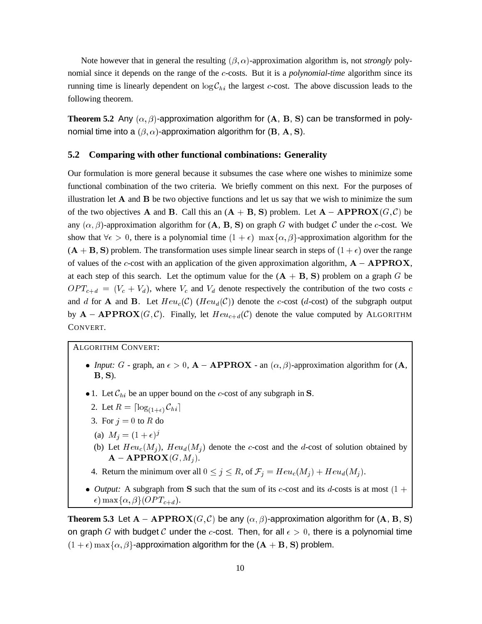Note however that in general the resulting  $(\beta, \alpha)$ -approximation algorithm is, not *strongly* polynomial since it depends on the range of the c-costs. But it is a *polynomial-time* algorithm since its running time is linearly dependent on  $\log C_{hi}$  the largest c-cost. The above discussion leads to the following theorem.

**Theorem 5.2** Any  $(\alpha, \beta)$ -approximation algorithm for  $(A, B, S)$  can be transformed in polynomial time into a  $(\beta, \alpha)$ -approximation algorithm for (B, A, S).

#### **5.2 Comparing with other functional combinations: Generality**

Our formulation is more general because it subsumes the case where one wishes to minimize some functional combination of the two criteria. We briefly comment on this next. For the purposes of illustration let  $A$  and  $B$  be two objective functions and let us say that we wish to minimize the sum of the two objectives A and B. Call this an  $(A + B, S)$  problem. Let  $A - APPROX(G, C)$  be any  $(\alpha, \beta)$ -approximation algorithm for  $(A, B, S)$  on graph G with budget C under the c-cost. We show that  $\forall \epsilon > 0$ , there is a polynomial time  $(1 + \epsilon)$  max $\{\alpha, \beta\}$ -approximation algorithm for the  $(A + B, S)$  problem. The transformation uses simple linear search in steps of  $(1 + \epsilon)$  over the range of values of the c-cost with an application of the given approximation algorithm,  $A - APPROX$ , at each step of this search. Let the optimum value for the  $(A + B, S)$  problem on a graph G be  $OPT_{c+d} = (V_c + V_d)$ , where  $V_c$  and  $V_d$  denote respectively the contribution of the two costs c and d for **A** and **B**. Let  $Heu_c(\mathcal{C})$  ( $Heu_d(\mathcal{C})$ ) denote the c-cost (d-cost) of the subgraph output by  $A - APPROX(G, C)$ . Finally, let  $Heu_{c+d}(C)$  denote the value computed by ALGORITHM CONVERT.

ALGORITHM CONVERT:

- *Input:*  $G$  graph, an  $\epsilon > 0$ ,  $A APPROX$  an  $(\alpha, \beta)$ -approximation algorithm for  $(A, \beta)$ <sup>B</sup>, S).
- 1. Let  $\mathcal{C}_{hi}$  be an upper bound on the *c*-cost of any subgraph in **S**.
	- 2. Let  $R = \lceil \log_{(1+\epsilon)} C_{hi} \rceil$
	- 3. For  $i = 0$  to R do
	- (a)  $M_i = (1 + \epsilon)^j$
	- (b) Let  $Heu_c(M_i)$ ,  $Heu_d(M_i)$  denote the c-cost and the d-cost of solution obtained by  $\mathbf{A}-\mathbf{APPROX}(G, M_i).$
	- 4. Return the minimum over all  $0 \le j \le R$ , of  $\mathcal{F}_j = Heu_c(M_j) + Heu_d(M_j)$ .
- *Output:* A subgraph from S such that the sum of its c-cost and its d-costs is at most  $(1 +$  $\epsilon$ ) max $\{\alpha, \beta\}$ (*OPT*<sub>c+d</sub>).

**Theorem 5.3** Let  $A - APPROX(G, C)$  be any  $(\alpha, \beta)$ -approximation algorithm for  $(A, B, S)$ on graph G with budget C under the c-cost. Then, for all  $\epsilon > 0$ , there is a polynomial time  $(1 + \epsilon)$  max $\{\alpha, \beta\}$ -approximation algorithm for the  $(A + B, S)$  problem.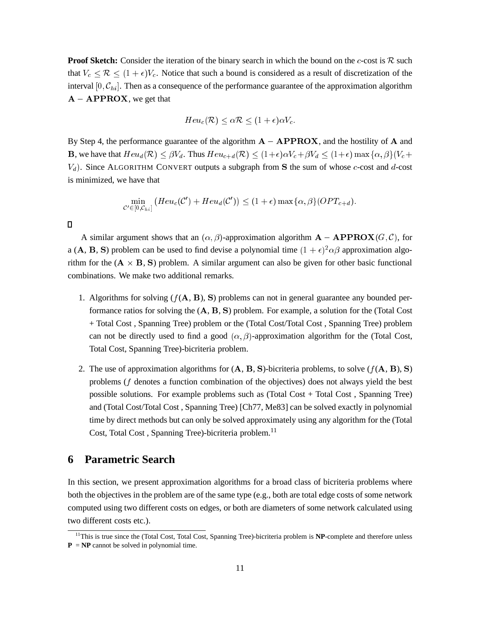**Proof Sketch:** Consider the iteration of the binary search in which the bound on the c-cost is  $\mathcal{R}$  such that  $V_c \leq \mathcal{R} \leq (1 + \epsilon)V_c$ . Notice that such a bound is considered as a result of discretization of the interval  $[0, C_{hi}]$ . Then as a consequence of the performance guarantee of the approximation algorithm  $A - APPROX$ , we get that

$$
Heu_c(\mathcal{R}) \leq \alpha \mathcal{R} \leq (1+\epsilon)\alpha V_c.
$$

By Step 4, the performance guarantee of the algorithm  $A - APPROX$ , and the hostility of A and **B**, we have that  $Heu_d(\mathcal{R}) \leq \beta V_d$ . Thus  $Heu_{c+d}(\mathcal{R}) \leq (1+\epsilon)\alpha V_c + \beta V_d \leq (1+\epsilon)\max{\alpha, \beta}(V_c +$  $V_d$ ). Since ALGORITHM CONVERT outputs a subgraph from S the sum of whose c-cost and d-cost is minimized, we have that

$$
\min_{\mathcal{C}' \in [0,\mathcal{C}_{hi}]} (Heu_c(\mathcal{C}') + Heu_d(\mathcal{C}')) \leq (1+\epsilon) \max\{\alpha,\beta\} (OPT_{c+d}).
$$

 $\Box$ 

A similar argument shows that an  $(\alpha, \beta)$ -approximation algorithm  $A - APPROX(G, C)$ , for a (A, B, S) problem can be used to find devise a polynomial time  $(1 + \epsilon)^2 \alpha \beta$  approximation algorithm for the  $(A \times B, S)$  problem. A similar argument can also be given for other basic functional combinations. We make two additional remarks.

- 1. Algorithms for solving  $(f(A, B), S)$  problems can not in general guarantee any bounded performance ratios for solving the  $(A, B, S)$  problem. For example, a solution for the (Total Cost + Total Cost , Spanning Tree) problem or the (Total Cost/Total Cost , Spanning Tree) problem can not be directly used to find a good  $(\alpha, \beta)$ -approximation algorithm for the (Total Cost, Total Cost, Spanning Tree)-bicriteria problem.
- 2. The use of approximation algorithms for  $(A, B, S)$ -bicriteria problems, to solve  $(f(A, B), S)$ problems (f denotes a function combination of the objectives) does not always yield the best possible solutions. For example problems such as (Total Cost + Total Cost , Spanning Tree) and (Total Cost/Total Cost , Spanning Tree) [Ch77, Me83] can be solved exactly in polynomial time by direct methods but can only be solved approximately using any algorithm for the (Total Cost, Total Cost, Spanning Tree)-bicriteria problem.<sup>11</sup>

# **6 Parametric Search**

In this section, we present approximation algorithms for a broad class of bicriteria problems where both the objectives in the problem are of the same type (e.g., both are total edge costs of some network computed using two different costs on edges, or both are diameters of some network calculated using two different costs etc.).

<sup>&</sup>lt;sup>11</sup>This is true since the (Total Cost, Total Cost, Spanning Tree)-bicriteria problem is **NP**-complete and therefore unless  $P = NP$  cannot be solved in polynomial time.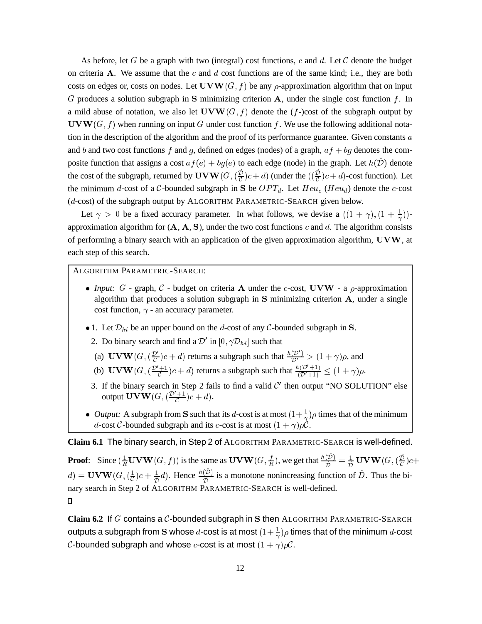As before, let G be a graph with two (integral) cost functions, c and d. Let C denote the budget on criteria A. We assume that the c and  $d$  cost functions are of the same kind; i.e., they are both costs on edges or, costs on nodes. Let  $\mathbf{U} \mathbf{V} \mathbf{W}(G, f)$  be any  $\rho$ -approximation algorithm that on input G produces a solution subgraph in S minimizing criterion A, under the single cost function  $f$ . In a mild abuse of notation, we also let  $\mathbf{U} \mathbf{V} \mathbf{W}(G, f)$  denote the (f-)cost of the subgraph output by  $\mathbf{U} \mathbf{V} \mathbf{W}(G, f)$  when running on input G under cost function f. We use the following additional notation in the description of the algorithm and the proof of its performance guarantee. Given constants a and b and two cost functions f and g, defined on edges (nodes) of a graph,  $af + bg$  denotes the composite function that assigns a cost  $af(e) + bg(e)$  to each edge (node) in the graph. Let  $h(\mathcal{D})$  denote the cost of the subgraph, returned by  $\mathbf{U} \mathbf{V} \mathbf{W}(G, (\frac{\mathcal{D}}{\sigma})c + d)$  (under the  $((\frac{\mathcal{D}}{\sigma})c + d)$ -cost function). Let the minimum d-cost of a C-bounded subgraph in S be  $OPT_d$ . Let  $Heu_c$  ( $Heu_d$ ) denote the c-cost (d-cost) of the subgraph output by ALGORITHM PARAMETRIC-SEARCH given below.

Let  $\gamma > 0$  be a fixed accuracy parameter. In what follows, we devise a  $((1 + \gamma), (1 + \frac{1}{\gamma}))$ - approximation algorithm for  $(A, A, S)$ , under the two cost functions c and d. The algorithm consists of performing a binary search with an application of the given approximation algorithm, UVW, at each step of this search.

## ALGORITHM PARAMETRIC-SEARCH:

- *Input:*  $G$  graph,  $C$  budget on criteria **A** under the c-cost, UVW a  $\rho$ -approximation algorithm that produces a solution subgraph in S minimizing criterion <sup>A</sup>, under a single cost function,  $\gamma$  - an accuracy parameter.
- 1. Let  $\mathcal{D}_{hi}$  be an upper bound on the *d*-cost of any *C*-bounded subgraph in S.
	- 2. Do binary search and find a  $\mathcal{D}'$  in  $[0, \gamma \mathcal{D}_{hi}]$  such that
	- (a) UVW $(G, (\frac{\mathcal{D}'}{\mathcal{C}})c + d)$  returns a subgraph such that  $\frac{n(D')}{\mathcal{D}'} > (1 + \gamma)\rho$ , and
	- (b)  $\mathbf{UVW}(G, (\frac{\mathcal{D}^t+1}{\mathcal{C}})c+d)$  returns a subgraph such that  $\frac{n(\mathcal{D}^t+1)}{(\mathcal{D}^t+1)} \leq (1+\gamma)\rho$ .
	- 3. If the binary search in Step 2 fails to find a valid  $C<sup>'</sup>$  then output "NO SOLUTION" else output  $\mathbf{UVW}(G, (\frac{\mathcal{D}^r+1}{\mathcal{C}})c+d).$
- *Output:* A subgraph from **S** such that its d-cost is at most  $(1+\frac{1}{\gamma})\rho$  times that of the minimum d-cost C-bounded subgraph and its c-cost is at most  $(1 + \gamma)\rho C$ .

**Claim 6.1** The binary search, in Step 2 of ALGORITHM PARAMETRIC-SEARCH is well-defined.

**Proof:** Since  $\left(\frac{1}{R}$  **UVW**(*G*, *f*)) is the same as **UVW**(*G*,  $\frac{1}{R}$ ), we get that  $\frac{n(D)}{\hat{D}} = \frac{1}{\hat{D}}$  **UVW**(*G*,  $\left(\frac{D}{C}\right)c$ +  $d) =$  UVW $(G, (\frac{1}{C})c + \frac{1}{D}d)$ . Hence  $\frac{h(D)}{\hat{D}}$  is a monotone nonincreasing function of D. Thus the binary search in Step 2 of ALGORITHM PARAMETRIC-SEARCH is well-defined.  $\Box$ 

**Claim 6.2** If G contains a <sup>C</sup>-bounded subgraph in <sup>S</sup> then ALGORITHM PARAMETRIC-SEARCH outputs a subgraph from S whose  $d$ -cost is at most  $(1+\frac{1}{\alpha})\rho$  times that of the minimum  $d$ -cost . . C-bounded subgraph and whose c-cost is at most  $(1 + \gamma)\rho C$ .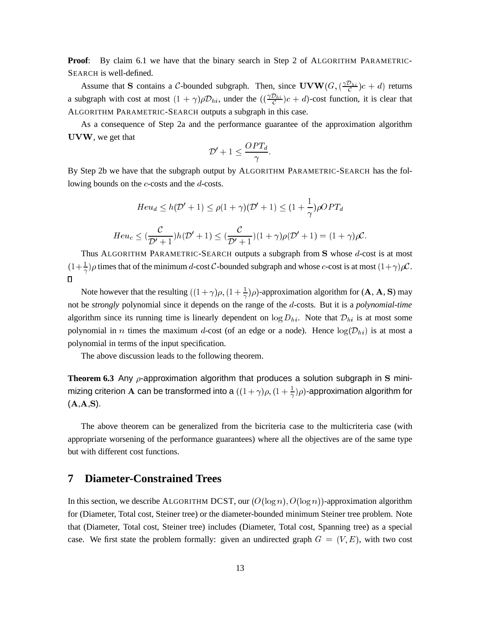**Proof:** By claim 6.1 we have that the binary search in Step 2 of ALGORITHM PARAMETRIC-SEARCH is well-defined.

Assume that S contains a C-bounded subgraph. Then, since  $\mathbf{U} \mathbf{V} \mathbf{W}(G, (\frac{\gamma D_{hi}}{C})c + d)$  returns a subgraph with cost at most  $(1 + \gamma)\rho \mathcal{D}_{hi}$ , under the  $((\frac{\gamma \mathcal{D}_{hi}}{C})c + d)$ -cost function, it is clear that ALGORITHM PARAMETRIC-SEARCH outputs a subgraph in this case.

As a consequence of Step 2a and the performance guarantee of the approximation algorithm UVW, we get that

$$
|\mathcal{D}'+1\leq \frac{OPT_d}{\gamma}
$$

By Step 2b we have that the subgraph output by ALGORITHM PARAMETRIC-SEARCH has the following bounds on the c-costs and the d-costs.

$$
Heu_d \le h(\mathcal{D}' + 1) \le \rho(1 + \gamma)(\mathcal{D}' + 1) \le (1 + \frac{1}{\gamma})\rho OPT_d
$$
  
\n
$$
Heu_c \le (\frac{\mathcal{C}}{\mathcal{D}' + 1})h(\mathcal{D}' + 1) \le (\frac{\mathcal{C}}{\mathcal{D}' + 1})(1 + \gamma)\rho(\mathcal{D}' + 1) = (1 + \gamma)\rho\mathcal{C}.
$$

Thus ALGORITHM PARAMETRIC-SEARCH outputs a subgraph from S whose d-cost is at most  $(1+\frac{1}{\gamma})\rho$  times that of the minimum d-cost C-bounded subgraph and whose c-cost is at most  $(1+\gamma)\rho C$ .  $\Box$ 

Note however that the resulting  $((1+\gamma)\rho, (1+\frac{1}{\gamma})\rho)$ -approximation algorithm for  $(A, A, S)$  may not be *strongly* polynomial since it depends on the range of the d-costs. But it is a *polynomial-time* algorithm since its running time is linearly dependent on  $\log D_{hi}$ . Note that  $\mathcal{D}_{hi}$  is at most some polynomial in *n* times the maximum d-cost (of an edge or a node). Hence  $log(D_{hi})$  is at most a polynomial in terms of the input specification.

The above discussion leads to the following theorem.

**Theorem 6.3** Any  $\rho$ -approximation algorithm that produces a solution subgraph in S minimizing criterion  ${\bf A}$  can be transformed into a  $((1+\gamma)\rho, (1+\frac{1}{\gamma})\rho)$ -approximation algorithm for  $(A, A, S)$ .

The above theorem can be generalized from the bicriteria case to the multicriteria case (with appropriate worsening of the performance guarantees) where all the objectives are of the same type but with different cost functions.

# **7 Diameter-Constrained Trees**

In this section, we describe ALGORITHM DCST, our  $(O(\log n), O(\log n))$ -approximation algorithm for (Diameter, Total cost, Steiner tree) or the diameter-bounded minimum Steiner tree problem. Note that (Diameter, Total cost, Steiner tree) includes (Diameter, Total cost, Spanning tree) as a special case. We first state the problem formally: given an undirected graph  $G = (V, E)$ , with two cost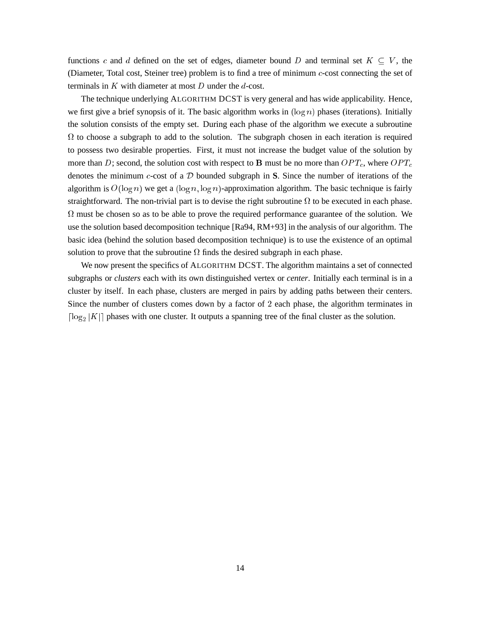functions c and d defined on the set of edges, diameter bound D and terminal set  $K \subseteq V$ , the (Diameter, Total cost, Steiner tree) problem is to find a tree of minimum c-cost connecting the set of terminals in  $K$  with diameter at most  $D$  under the  $d$ -cost.

The technique underlying ALGORITHM DCST is very general and has wide applicability. Hence, we first give a brief synopsis of it. The basic algorithm works in  $(\log n)$  phases (iterations). Initially the solution consists of the empty set. During each phase of the algorithm we execute a subroutine  $\Omega$  to choose a subgraph to add to the solution. The subgraph chosen in each iteration is required to possess two desirable properties. First, it must not increase the budget value of the solution by more than D; second, the solution cost with respect to **B** must be no more than  $OPT_c$ , where  $OPT_c$ denotes the minimum c-cost of a <sup>D</sup> bounded subgraph in **S**. Since the number of iterations of the algorithm is  $O(\log n)$  we get a  $(\log n, \log n)$ -approximation algorithm. The basic technique is fairly straightforward. The non-trivial part is to devise the right subroutine  $\Omega$  to be executed in each phase.  $\Omega$  must be chosen so as to be able to prove the required performance guarantee of the solution. We use the solution based decomposition technique [Ra94, RM+93] in the analysis of our algorithm. The basic idea (behind the solution based decomposition technique) is to use the existence of an optimal solution to prove that the subroutine  $\Omega$  finds the desired subgraph in each phase.

We now present the specifics of ALGORITHM DCST. The algorithm maintains a set of connected subgraphs or *clusters* each with its own distinguished vertex or *center*. Initially each terminal is in a cluster by itself. In each phase, clusters are merged in pairs by adding paths between their centers. Since the number of clusters comes down by a factor of <sup>2</sup> each phase, the algorithm terminates in  $\lceil \log_2 |K| \rceil$  phases with one cluster. It outputs a spanning tree of the final cluster as the solution.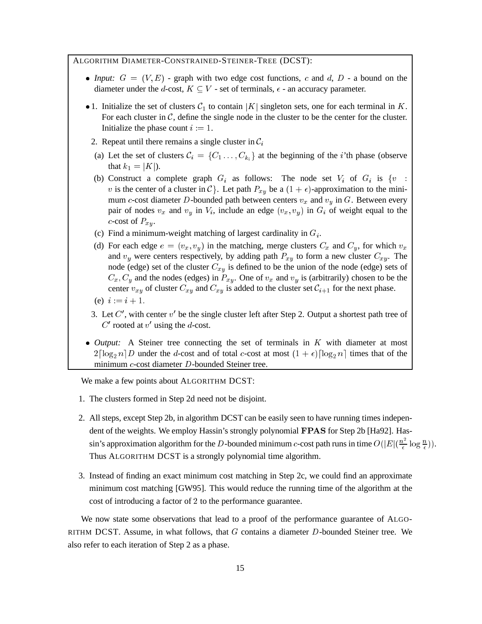## ALGORITHM DIAMETER-CONSTRAINED-STEINER-TREE (DCST):

- *Input:*  $G = (V, E)$  graph with two edge cost functions, c and d,  $D$  a bound on the diameter under the d-cost,  $K \subseteq V$  - set of terminals,  $\epsilon$  - an accuracy parameter.
- 1. Initialize the set of clusters  $C_1$  to contain |K| singleton sets, one for each terminal in K. For each cluster in  $\mathcal{C}$ , define the single node in the cluster to be the center for the cluster. Initialize the phase count  $i := 1$ .
- 2. Repeat until there remains a single cluster in  $C_i$
- (a) Let the set of clusters  $C_i = \{C_1, \ldots, C_{k_i}\}\$ at the beginning of the *i*'th phase (observe that  $k_1 = |K|$ ).
- (b) Construct a complete graph  $G_i$  as follows: The node set  $V_i$  of  $G_i$  is  $\{v :$ v is the center of a cluster in C}. Let path  $P_{xy}$  be a  $(1 + \epsilon)$ -approximation to the minimum c-cost diameter D-bounded path between centers  $v_x$  and  $v_y$  in G. Between every pair of nodes  $v_x$  and  $v_y$  in  $V_i$ , include an edge  $(v_x, v_y)$  in  $G_i$  of weight equal to the c-cost of  $P_{x,y}$ .
- (c) Find a minimum-weight matching of largest cardinality in  $G_i$ .
- (d) For each edge  $e = (v_x, v_y)$  in the matching, merge clusters  $C_x$  and  $C_y$ , for which  $v_x$ and  $v_y$  were centers respectively, by adding path  $P_{xy}$  to form a new cluster  $C_{xy}$ . The node (edge) set of the cluster  $C_{xy}$  is defined to be the union of the node (edge) sets of  $C_x, C_y$  and the nodes (edges) in  $P_{xy}$ . One of  $v_x$  and  $v_y$  is (arbitrarily) chosen to be the center  $v_{xy}$  of cluster  $C_{xy}$  and  $C_{xy}$  is added to the cluster set  $C_{i+1}$  for the next phase.
- (e)  $i := i + 1$ .
- 3. Let  $C'$ , with center  $v'$  be the single cluster left after Step 2. Output a shortest path tree of  $C'$  rooted at  $v'$  using the d-cost.
- *Output:* A Steiner tree connecting the set of terminals in K with diameter at most  $2\lceil \log_2 n \rceil D$  under the *d*-cost and of total *c*-cost at most  $(1 + \epsilon) \lceil \log_2 n \rceil$  times that of the minimum c-cost diameter D-bounded Steiner tree.

We make a few points about ALGORITHM DCST:

- 1. The clusters formed in Step 2d need not be disjoint.
- 2. All steps, except Step 2b, in algorithm DCST can be easily seen to have running times independent of the weights. We employ Hassin's strongly polynomial FPAS for Step 2b [Ha92]. Hassin's approximation algorithm for the D-bounded minimum c-cost path runs in time  $O(|E|(\frac{n^2}{\epsilon}))$  $\frac{\mu^2}{\epsilon} \log \frac{n}{\epsilon})$ ). Thus ALGORITHM DCST is a strongly polynomial time algorithm.
- 3. Instead of finding an exact minimum cost matching in Step 2c, we could find an approximate minimum cost matching [GW95]. This would reduce the running time of the algorithm at the cost of introducing a factor of <sup>2</sup> to the performance guarantee.

We now state some observations that lead to a proof of the performance guarantee of ALGO-RITHM DCST. Assume, in what follows, that  $G$  contains a diameter  $D$ -bounded Steiner tree. We also refer to each iteration of Step 2 as a phase.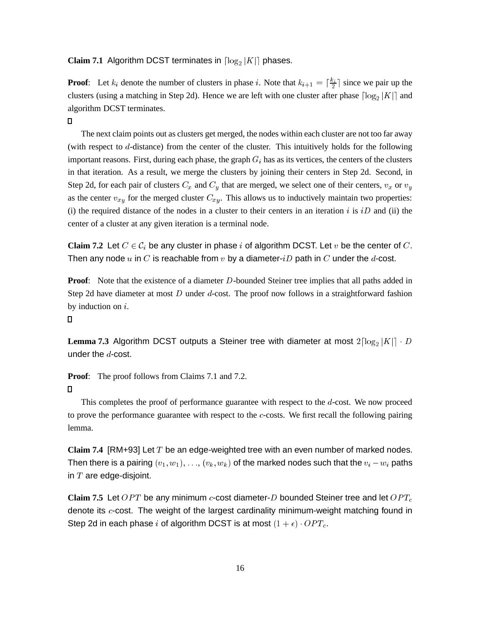## **Claim 7.1** Algorithm DCST terminates in  $\lceil \log_2 |K| \rceil$  phases.

**Proof**: Let  $k_i$  denote the number of clusters in phase i. Note that  $k_{i+1} = \lceil \frac{k_i}{2} \rceil$  since we pair up the  $\overline{\phantom{a}}$ clusters (using a matching in Step 2d). Hence we are left with one cluster after phase  $\lceil \log_2 |K| \rceil$  and algorithm DCST terminates.

## $\Box$

The next claim points out as clusters get merged, the nodes within each cluster are not too far away (with respect to d-distance) from the center of the cluster. This intuitively holds for the following important reasons. First, during each phase, the graph  $G_i$  has as its vertices, the centers of the clusters in that iteration. As a result, we merge the clusters by joining their centers in Step 2d. Second, in Step 2d, for each pair of clusters  $C_x$  and  $C_y$  that are merged, we select one of their centers,  $v_x$  or  $v_y$ as the center  $v_{xy}$  for the merged cluster  $C_{xy}$ . This allows us to inductively maintain two properties: (i) the required distance of the nodes in a cluster to their centers in an iteration i is  $iD$  and (ii) the center of a cluster at any given iteration is a terminal node.

**Claim 7.2** Let  $C \in \mathcal{C}_i$  be any cluster in phase i of algorithm DCST. Let v be the center of C. Then any node u in C is reachable from  $v$  by a diameter- $iD$  path in C under the d-cost.

**Proof:** Note that the existence of a diameter D-bounded Steiner tree implies that all paths added in Step 2d have diameter at most D under d-cost. The proof now follows in a straightforward fashion by induction on i.

#### $\Box$

Lemma 7.3 Algorithm DCST outputs a Steiner tree with diameter at most  $2\lceil \log_2 |K|\rceil \cdot D$ under the  $d$ -cost.

**Proof:** The proof follows from Claims 7.1 and 7.2.

# $\Box$

This completes the proof of performance guarantee with respect to the d-cost. We now proceed to prove the performance guarantee with respect to the  $c$ -costs. We first recall the following pairing lemma.

**Claim 7.4** [RM+93] Let T be an edge-weighted tree with an even number of marked nodes. Then there is a pairing  $(v_1, w_1), \ldots, (v_k, w_k)$  of the marked nodes such that the  $v_i - w_i$  paths in  $T$  are edge-disjoint.

**Claim 7.5** Let  $OPT$  be any minimum  $c$ -cost diameter-D bounded Steiner tree and let  $OPT_c$ denote its c-cost. The weight of the largest cardinality minimum-weight matching found in Step 2d in each phase i of algorithm DCST is at most  $(1 + \epsilon) \cdot OPT_c$ .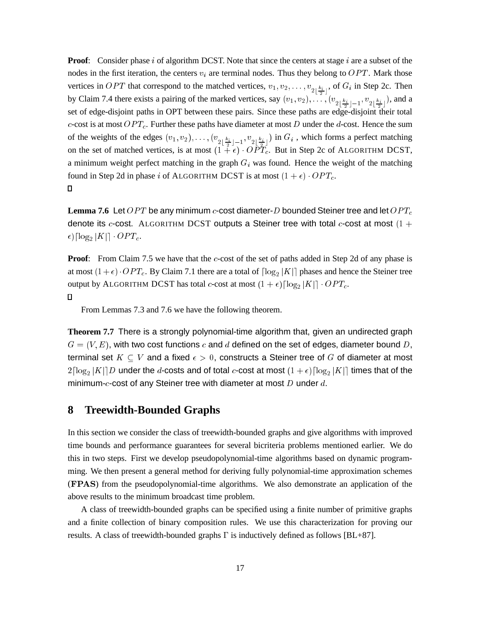**Proof:** Consider phase i of algorithm DCST. Note that since the centers at stage i are a subset of the nodes in the first iteration, the centers  $v_i$  are terminal nodes. Thus they belong to  $OPT$ . Mark those vertices in OPT that correspond to the matched vertices,  $v_1, v_2, \ldots, v_{2 \lfloor \frac{k_i}{2} \rfloor}$ , of  $G_i$  in Step 2c. Then by Claim 7.4 there exists a pairing of the marked vertices, say  $(v_1, v_2), \ldots, (v_{2\lfloor \frac{k_i}{2} \rfloor-1}, v_{2\lfloor \frac{k_i}{2} \rfloor})$ , and a set of edge-disjoint paths in OPT between these pairs. Since these paths are edge-disjoint their total c-cost is at most  $OPT_c$ . Further these paths have diameter at most D under the d-cost. Hence the sum of the weights of the edges  $(v_1, v_2), \ldots, (v_{2\lfloor \frac{k_i}{2} \rfloor - 1}, v_{2\lfloor \frac{k_i}{2} \rfloor})$  in  $G_i$ , which forms a perfect matching on the set of matched vertices, is at most  $(1 + \epsilon) \cdot OPT_c$ . But in Step 2c of ALGORITHM DCST, a minimum weight perfect matching in the graph  $G_i$  was found. Hence the weight of the matching found in Step 2d in phase i of ALGORITHM DCST is at most  $(1 + \epsilon) \cdot OPT_c$ .  $\Box$ 

**Lemma 7.6** Let  $OPT$  be any minimum  $c$ -cost diameter-D bounded Steiner tree and let  $OPT_c$ denote its c-cost. ALGORITHM DCST outputs a Steiner tree with total c-cost at most  $(1 +$  $\epsilon$ ) $\lceil \log_2 |K| \rceil \cdot OPT_c$ .

**Proof:** From Claim 7.5 we have that the c-cost of the set of paths added in Step 2d of any phase is at most  $(1+\epsilon) \cdot OPT_c$ . By Claim 7.1 there are a total of  $\lceil \log_2 |K| \rceil$  phases and hence the Steiner tree output by ALGORITHM DCST has total c-cost at most  $(1 + \epsilon) \lceil \log_2 |K| \rceil \cdot OPT_c$ .

## $\Box$

From Lemmas 7.3 and 7.6 we have the following theorem.

**Theorem 7.7** There is a strongly polynomial-time algorithm that, given an undirected graph  $G = (V, E)$ , with two cost functions c and d defined on the set of edges, diameter bound D, terminal set  $K \subseteq V$  and a fixed  $\epsilon > 0$ , constructs a Steiner tree of G of diameter at most  $2\lceil\log_2|K|\rceil D$  under the  $d$ -costs and of total  $c$ -cost at most  $(1+\epsilon)\lceil\log_2|K|\rceil$  times that of the minimum- $c$ -cost of any Steiner tree with diameter at most  $D$  under  $d$ .

# **8 Treewidth-Bounded Graphs**

In this section we consider the class of treewidth-bounded graphs and give algorithms with improved time bounds and performance guarantees for several bicriteria problems mentioned earlier. We do this in two steps. First we develop pseudopolynomial-time algorithms based on dynamic programming. We then present a general method for deriving fully polynomial-time approximation schemes (FPAS) from the pseudopolynomial-time algorithms. We also demonstrate an application of the above results to the minimum broadcast time problem.

A class of treewidth-bounded graphs can be specified using a finite number of primitive graphs and a finite collection of binary composition rules. We use this characterization for proving our results. A class of treewidth-bounded graphs  $\Gamma$  is inductively defined as follows [BL+87].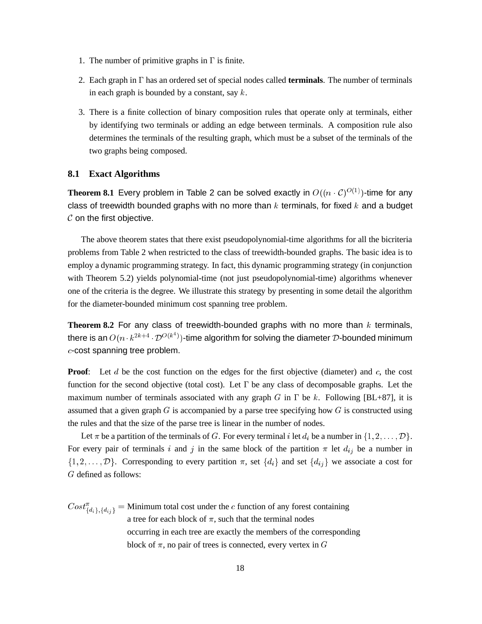- 1. The number of primitive graphs in  $\Gamma$  is finite.
- 2. Each graph in  $\Gamma$  has an ordered set of special nodes called **terminals**. The number of terminals in each graph is bounded by a constant, say  $k$ .
- 3. There is a finite collection of binary composition rules that operate only at terminals, either by identifying two terminals or adding an edge between terminals. A composition rule also determines the terminals of the resulting graph, which must be a subset of the terminals of the two graphs being composed.

### **8.1 Exact Algorithms**

**Theorem 8.1** Every problem in Table 2 can be solved exactly in  $O((n \cdot C)^{O(1)})$ -time for any class of treewidth bounded graphs with no more than  $k$  terminals, for fixed  $k$  and a budget  $C$  on the first objective.

The above theorem states that there exist pseudopolynomial-time algorithms for all the bicriteria problems from Table 2 when restricted to the class of treewidth-bounded graphs. The basic idea is to employ a dynamic programming strategy. In fact, this dynamic programming strategy (in conjunction with Theorem 5.2) yields polynomial-time (not just pseudopolynomial-time) algorithms whenever one of the criteria is the degree. We illustrate this strategy by presenting in some detail the algorithm for the diameter-bounded minimum cost spanning tree problem.

**Theorem 8.2** For any class of treewidth-bounded graphs with no more than  $k$  terminals, there is an  $O(n \cdot k^{2k+4} \cdot \mathcal{D}^{O(k^*)})$ -time algorithm for solving the diameter  $\mathcal D$ -bounded minimum c-cost spanning tree problem.

**Proof:** Let d be the cost function on the edges for the first objective (diameter) and c, the cost function for the second objective (total cost). Let  $\Gamma$  be any class of decomposable graphs. Let the maximum number of terminals associated with any graph G in  $\Gamma$  be k. Following [BL+87], it is assumed that a given graph  $G$  is accompanied by a parse tree specifying how  $G$  is constructed using the rules and that the size of the parse tree is linear in the number of nodes.

Let  $\pi$  be a partition of the terminals of G. For every terminal i let  $d_i$  be a number in  $\{1, 2, \ldots, \mathcal{D}\}\$ . For every pair of terminals i and j in the same block of the partition  $\pi$  let  $d_{ij}$  be a number in  $\{1, 2, \ldots, \mathcal{D}\}\$ . Corresponding to every partition  $\pi$ , set  $\{d_i\}$  and set  $\{d_{ij}\}\$  we associate a cost for G defined as follows:

 $Cost^{\pi}_{\{d_i\},\{d_{ij}\}} =$  Minimum total cost under the c function of any forest containing a tree for each block of  $\pi$ , such that the terminal nodes occurring in each tree are exactly the members of the corresponding block of  $\pi$ , no pair of trees is connected, every vertex in G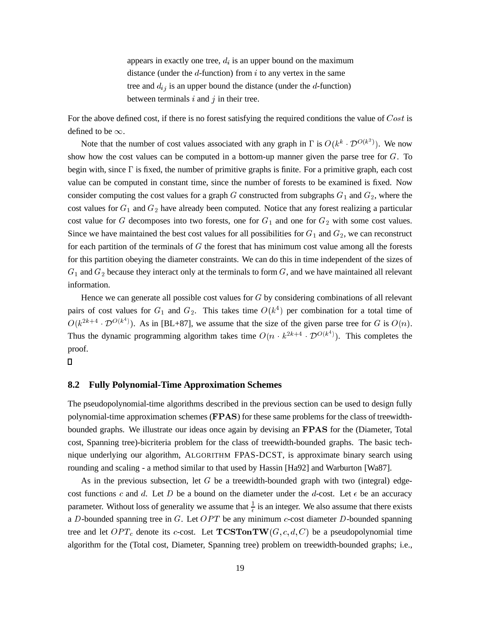appears in exactly one tree,  $d_i$  is an upper bound on the maximum distance (under the  $d$ -function) from  $i$  to any vertex in the same tree and  $d_{ij}$  is an upper bound the distance (under the d-function) between terminals  $i$  and  $j$  in their tree.

For the above defined cost, if there is no forest satisfying the required conditions the value of Cost is defined to be  $\infty$ .

Note that the number of cost values associated with any graph in  $\Gamma$  is  $O(k^k \cdot \mathcal{D}^{O(k^2)})$ . We now show how the cost values can be computed in a bottom-up manner given the parse tree for  $G$ . To begin with, since  $\Gamma$  is fixed, the number of primitive graphs is finite. For a primitive graph, each cost value can be computed in constant time, since the number of forests to be examined is fixed. Now consider computing the cost values for a graph G constructed from subgraphs  $G_1$  and  $G_2$ , where the cost values for  $G_1$  and  $G_2$  have already been computed. Notice that any forest realizing a particular cost value for G decomposes into two forests, one for  $G_1$  and one for  $G_2$  with some cost values. Since we have maintained the best cost values for all possibilities for  $G_1$  and  $G_2$ , we can reconstruct for each partition of the terminals of  $G$  the forest that has minimum cost value among all the forests for this partition obeying the diameter constraints. We can do this in time independent of the sizes of  $G_1$  and  $G_2$  because they interact only at the terminals to form  $G$ , and we have maintained all relevant information.

Hence we can generate all possible cost values for <sup>G</sup> by considering combinations of all relevant pairs of cost values for  $G_1$  and  $G_2$ . This takes time  $O(k^4)$  per combination for a total time of  $O(k^{2k+4} \cdot \mathcal{D}^{O(k^*)})$ . As in [BL+87], we assume that the size of the given parse tree for G is  $O(n)$ . Thus the dynamic programming algorithm takes time  $O(n \cdot k^{2k+4} \cdot \mathcal{D}^{O(k^*)})$ . This completes the proof.

### 0

## **8.2 Fully Polynomial-Time Approximation Schemes**

The pseudopolynomial-time algorithms described in the previous section can be used to design fully polynomial-time approximation schemes (FPAS) for these same problems for the class of treewidthbounded graphs. We illustrate our ideas once again by devising an FPAS for the (Diameter, Total cost, Spanning tree)-bicriteria problem for the class of treewidth-bounded graphs. The basic technique underlying our algorithm, ALGORITHM FPAS-DCST, is approximate binary search using rounding and scaling - a method similar to that used by Hassin [Ha92] and Warburton [Wa87].

As in the previous subsection, let  $G$  be a treewidth-bounded graph with two (integral) edgecost functions c and d. Let D be a bound on the diameter under the d-cost. Let  $\epsilon$  be an accuracy parameter. Without loss of generality we assume that  $\frac{1}{6}$  is an integer. We also assume that there exists a D-bounded spanning tree in G. Let  $OPT$  be any minimum c-cost diameter D-bounded spanning tree and let  $OPT_c$  denote its c-cost. Let  $T\mathbf{CSTon}TW(G, c, d, C)$  be a pseudopolynomial time algorithm for the (Total cost, Diameter, Spanning tree) problem on treewidth-bounded graphs; i.e.,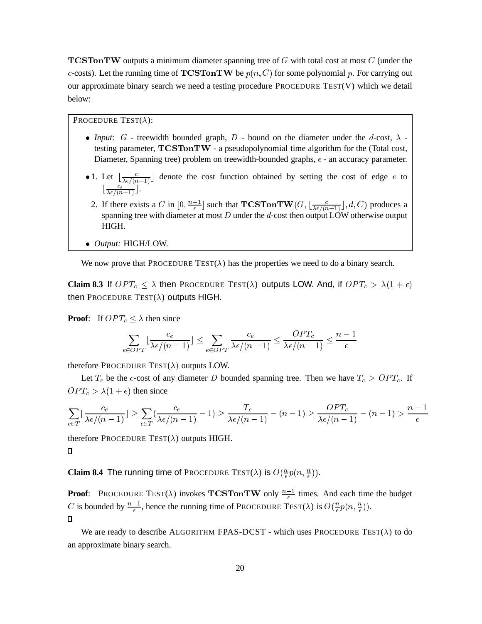**TCSTonTW** outputs a minimum diameter spanning tree of  $G$  with total cost at most  $C$  (under the c-costs). Let the running time of **TCSTonTW** be  $p(n, C)$  for some polynomial p. For carrying out our approximate binary search we need a testing procedure PROCEDURE TEST(V) which we detail below:

PROCEDURE TEST $(\lambda)$ :

- *Input:*  $G$  treewidth bounded graph,  $D$  bound on the diameter under the  $d$ -cost,  $\lambda$  testing parameter,  $T\text{CSTon}T\text{W}$  - a pseudopolynomial time algorithm for the (Total cost, Diameter, Spanning tree) problem on treewidth-bounded graphs,  $\epsilon$  - an accuracy parameter.
- 1. Let  $\lfloor \frac{c}{\lambda \epsilon/(n-1)} \rfloor$  denote the cost function obtained by setting the cost of edge e to  $\lfloor \frac{c_e}{\lambda \epsilon/(n-1)} \rfloor$ .
- 2. If there exists a C in  $[0, \frac{n-1}{\epsilon}]$  such that  $T\mathbf{CSTon} \mathbf{TW}(G, \lfloor \frac{c}{\lambda \epsilon/(n-1)} \rfloor, d, C)$  produces a spanning tree with diameter at most  $D$  under the d-cost then output LOW otherwise output HIGH.
- *Output:* HIGH/LOW.

We now prove that PROCEDURE TEST( $\lambda$ ) has the properties we need to do a binary search.

**Claim 8.3** If  $OPT_c \leq \lambda$  then PROCEDURE TEST( $\lambda$ ) outputs LOW. And, if  $OPT_c > \lambda(1 + \epsilon)$ then PROCEDURE TEST( $\lambda$ ) outputs HIGH.

**Proof:** If  $OPT_c \leq \lambda$  then since

$$
\sum_{e \in OPT} \lfloor \frac{c_e}{\lambda \epsilon / (n-1)} \rfloor \le \sum_{e \in OPT} \frac{c_e}{\lambda \epsilon / (n-1)} \le \frac{OPT_c}{\lambda \epsilon / (n-1)} \le \frac{n-1}{\epsilon}
$$

therefore PROCEDURE TEST( $\lambda$ ) outputs LOW.

Let  $T_c$  be the c-cost of any diameter D bounded spanning tree. Then we have  $T_c \geq OPT_c$ . If  $OPT_c > \lambda(1 + \epsilon)$  then since

$$
\sum_{e \in T} \lfloor \frac{c_e}{\lambda \epsilon / (n-1)} \rfloor \ge \sum_{e \in T} \left( \frac{c_e}{\lambda \epsilon / (n-1)} - 1 \right) \ge \frac{T_c}{\lambda \epsilon / (n-1)} - (n-1) \ge \frac{OPT_c}{\lambda \epsilon / (n-1)} - (n-1) > \frac{n-1}{\epsilon}
$$

therefore PROCEDURE TEST( $\lambda$ ) outputs HIGH.

### $\Box$

**Claim 8.4** The running time of Procedure Test( $\lambda$ ) is  $O(\frac{n}{\epsilon}p(n, \frac{n}{\epsilon}))$ .

**Proof:** PROCEDURE TEST( $\lambda$ ) invokes **TCSTonTW** only  $\frac{n-1}{\epsilon}$  times. And each time the budget C is bounded by  $\frac{n-1}{\epsilon}$ , hence the running time of PROCEDURE TEST( $\lambda$ ) is  $O(\frac{n}{\epsilon}p(n, \frac{n}{\epsilon}))$ .  $\Box$ 

We are ready to describe ALGORITHM FPAS-DCST - which uses PROCEDURE TEST( $\lambda$ ) to do an approximate binary search.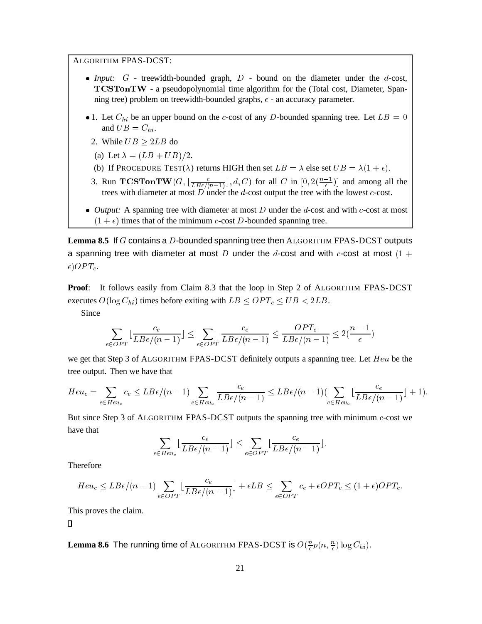ALGORITHM FPAS-DCST:

- *Input:*  $G$  treewidth-bounded graph,  $D$  bound on the diameter under the d-cost, TCSTonTW - a pseudopolynomial time algorithm for the (Total cost, Diameter, Spanning tree) problem on treewidth-bounded graphs,  $\epsilon$  - an accuracy parameter.
- 1. Let  $C_{hi}$  be an upper bound on the c-cost of any D-bounded spanning tree. Let  $LB = 0$ and  $UB = C_{hi}$ .
	- 2. While  $UB \geq 2LB$  do
	- (a) Let  $\lambda = (LB + UB)/2$ .
	- (b) If PROCEDURE TEST( $\lambda$ ) returns HIGH then set  $LB = \lambda$  else set  $UB = \lambda(1 + \epsilon)$ .
	- 3. Run  $TCSTonTW(G, \lfloor \frac{c}{LB\epsilon/(n-1)} \rfloor, d, C)$  for all C in  $[0, 2(\frac{n-1}{\epsilon})]$  and among all the trees with diameter at most  $D$  under the  $d$ -cost output the tree with the lowest  $c$ -cost.
- *Output:* A spanning tree with diameter at most D under the d-cost and with c-cost at most  $(1 + \epsilon)$  times that of the minimum c-cost D-bounded spanning tree.

**Lemma 8.5** If G contains a D-bounded spanning tree then ALGORITHM FPAS-DCST outputs a spanning tree with diameter at most D under the d-cost and with c-cost at most  $(1 +$  $\epsilon$ ) OPT<sub>c</sub>.

**Proof**: It follows easily from Claim 8.3 that the loop in Step 2 of ALGORITHM FPAS-DCST executes  $O(\log C_{hi})$  times before exiting with  $LB \leq OPT_c \leq UB \leq 2LB$ .

Since

$$
\sum_{e \in OPT} \lfloor \frac{c_e}{LB\epsilon/(n-1)} \rfloor \le \sum_{e \in OPT} \frac{c_e}{LB\epsilon/(n-1)} \le \frac{OPT_c}{LB\epsilon/(n-1)} \le 2(\frac{n-1}{\epsilon})
$$

we get that Step 3 of ALGORITHM FPAS-DCST definitely outputs a spanning tree. Let  $Heu$  be the tree output. Then we have that

$$
Heu_c = \sum_{e \in Heu_c} c_e \leq LBe/(n-1) \sum_{e \in Heu_c} \frac{c_e}{LB\epsilon/(n-1)} \leq LBe/(n-1) \Big(\sum_{e \in Heu_c} \Big(\frac{c_e}{LB\epsilon/(n-1)}\Big) + 1\Big).
$$

But since Step 3 of ALGORITHM FPAS-DCST outputs the spanning tree with minimum c-cost we have that

$$
\sum_{e \in Heu_c} \lfloor \frac{c_e}{LB\epsilon/(n-1)} \rfloor \leq \sum_{e \in OPT} \lfloor \frac{c_e}{LB\epsilon/(n-1)} \rfloor.
$$

Therefore

$$
Heu_c \leq LBe/(n-1)\sum_{e \in OPT} \lfloor \frac{c_e}{LB\epsilon/(n-1)} \rfloor + \epsilon LB \leq \sum_{e \in OPT} c_e + \epsilon OPT_c \leq (1+\epsilon) OPT_c.
$$

This proves the claim.

 $\Box$ 

**Lemma 8.6** The running time of ALGORITHM FPAS-DCST is  $O(\frac{n}{\epsilon}p(n,\frac{n}{\epsilon})\log C_{hi}).$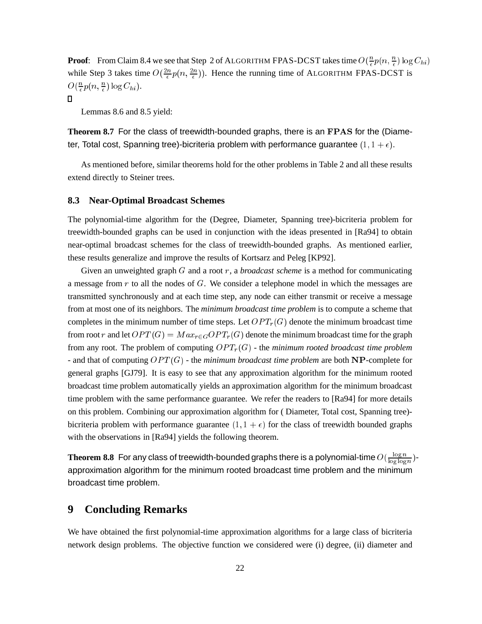**Proof**: From Claim 8.4 we see that Step 2 of ALGORITHM FPAS-DCST takes time  $O(\frac{n}{\epsilon}p(n, \frac{n}{\epsilon})\log C_{hi})$ while Step 3 takes time  $O(\frac{2n}{\epsilon}p(n,\frac{2n}{\epsilon}))$ . Hence the running time of ALGORITHM FPAS-DCST is  $O(\frac{n}{\epsilon}p(n,\frac{n}{\epsilon})\log C_{hi}).$ 

 $\Box$ 

Lemmas 8.6 and 8.5 yield:

**Theorem 8.7** For the class of treewidth-bounded graphs, there is an FPAS for the (Diameter, Total cost, Spanning tree)-bicriteria problem with performance guarantee  $(1, 1 + \epsilon)$ .

As mentioned before, similar theorems hold for the other problems in Table 2 and all these results extend directly to Steiner trees.

## **8.3 Near-Optimal Broadcast Schemes**

The polynomial-time algorithm for the (Degree, Diameter, Spanning tree)-bicriteria problem for treewidth-bounded graphs can be used in conjunction with the ideas presented in [Ra94] to obtain near-optimal broadcast schemes for the class of treewidth-bounded graphs. As mentioned earlier, these results generalize and improve the results of Kortsarz and Peleg [KP92].

Given an unweighted graph G and a root r, a *broadcast scheme* is a method for communicating a message from  $r$  to all the nodes of  $G$ . We consider a telephone model in which the messages are transmitted synchronously and at each time step, any node can either transmit or receive a message from at most one of its neighbors. The *minimum broadcast time problem* is to compute a scheme that completes in the minimum number of time steps. Let  $OPT<sub>r</sub>(G)$  denote the minimum broadcast time from root r and let  $OPT(G) = Max_{r \in G} OPT_r(G)$  denote the minimum broadcast time for the graph from any root. The problem of computing  $OPT_r(G)$  - the *minimum rooted broadcast time problem* - and that of computing  $OPT(G)$  - the *minimum broadcast time problem* are both  $NP$ -complete for general graphs [GJ79]. It is easy to see that any approximation algorithm for the minimum rooted broadcast time problem automatically yields an approximation algorithm for the minimum broadcast time problem with the same performance guarantee. We refer the readers to [Ra94] for more details on this problem. Combining our approximation algorithm for ( Diameter, Total cost, Spanning tree) bicriteria problem with performance guarantee  $(1, 1 + \epsilon)$  for the class of treewidth bounded graphs with the observations in [Ra94] yields the following theorem.

**Theorem 8.8** For any class of treewidth-bounded graphs there is a polynomial-time  $O(\frac{\log n}{\log \log n})$  $\frac{\log n}{\log \log n}$ ) approximation algorithm for the minimum rooted broadcast time problem and the minimum broadcast time problem.

# **9 Concluding Remarks**

We have obtained the first polynomial-time approximation algorithms for a large class of bicriteria network design problems. The objective function we considered were (i) degree, (ii) diameter and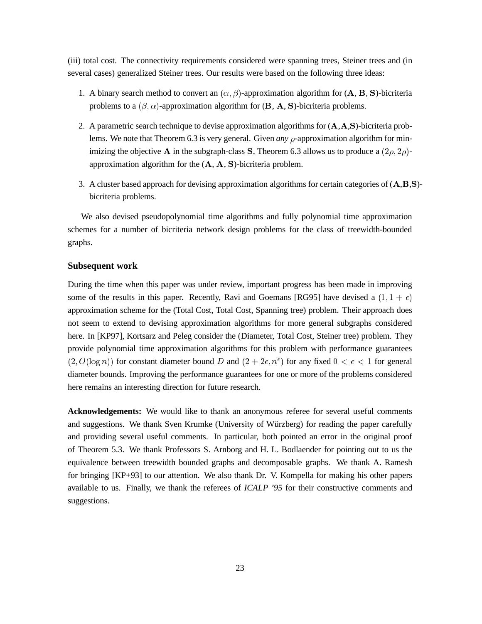(iii) total cost. The connectivity requirements considered were spanning trees, Steiner trees and (in several cases) generalized Steiner trees. Our results were based on the following three ideas:

- 1. A binary search method to convert an  $(\alpha, \beta)$ -approximation algorithm for  $(A, B, S)$ -bicriteria problems to a  $(\beta, \alpha)$ -approximation algorithm for  $(\mathbf{B}, \mathbf{A}, \mathbf{S})$ -bicriteria problems.
- 2. A parametric search technique to devise approximation algorithms for (A,A,S)-bicriteria problems. We note that Theorem 6.3 is very general. Given *any*  $\rho$ -approximation algorithm for minimizing the objective A in the subgraph-class S, Theorem 6.3 allows us to produce a  $(2\rho, 2\rho)$ approximation algorithm for the (A, <sup>A</sup>, S)-bicriteria problem.
- 3. A cluster based approach for devising approximation algorithms for certain categories of (A,B,S) bicriteria problems.

We also devised pseudopolynomial time algorithms and fully polynomial time approximation schemes for a number of bicriteria network design problems for the class of treewidth-bounded graphs.

## **Subsequent work**

During the time when this paper was under review, important progress has been made in improving some of the results in this paper. Recently, Ravi and Goemans [RG95] have devised a  $(1, 1 + \epsilon)$ approximation scheme for the (Total Cost, Total Cost, Spanning tree) problem. Their approach does not seem to extend to devising approximation algorithms for more general subgraphs considered here. In [KP97], Kortsarz and Peleg consider the (Diameter, Total Cost, Steiner tree) problem. They provide polynomial time approximation algorithms for this problem with performance guarantees  $(2, O(\log n))$  for constant diameter bound D and  $(2 + 2\epsilon, n^{\epsilon})$  for any fixed  $0 < \epsilon < 1$  for general diameter bounds. Improving the performance guarantees for one or more of the problems considered here remains an interesting direction for future research.

**Acknowledgements:** We would like to thank an anonymous referee for several useful comments and suggestions. We thank Sven Krumke (University of Würzberg) for reading the paper carefully and providing several useful comments. In particular, both pointed an error in the original proof of Theorem 5.3. We thank Professors S. Arnborg and H. L. Bodlaender for pointing out to us the equivalence between treewidth bounded graphs and decomposable graphs. We thank A. Ramesh for bringing [KP+93] to our attention. We also thank Dr. V. Kompella for making his other papers available to us. Finally, we thank the referees of *ICALP '95* for their constructive comments and suggestions.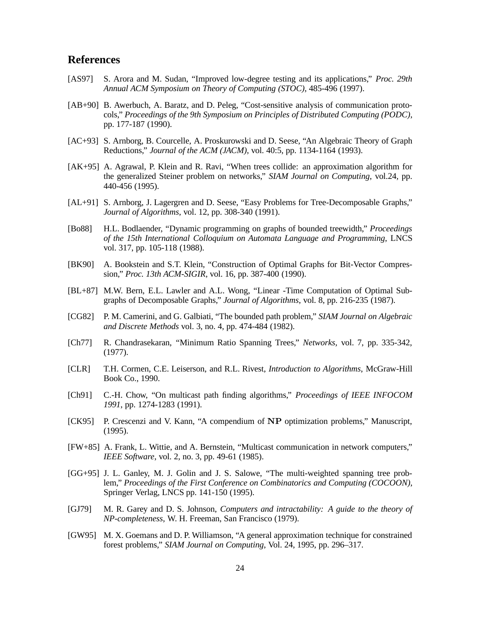# **References**

- [AS97] S. Arora and M. Sudan, "Improved low-degree testing and its applications," *Proc. 29th Annual ACM Symposium on Theory of Computing (STOC)*, 485-496 (1997).
- [AB+90] B. Awerbuch, A. Baratz, and D. Peleg, "Cost-sensitive analysis of communication protocols," *Proceedings of the 9th Symposium on Principles of Distributed Computing (PODC)*, pp. 177-187 (1990).
- [AC+93] S. Arnborg, B. Courcelle, A. Proskurowski and D. Seese, "An Algebraic Theory of Graph Reductions," *Journal of the ACM (JACM)*, vol. 40:5, pp. 1134-1164 (1993).
- [AK+95] A. Agrawal, P. Klein and R. Ravi, "When trees collide: an approximation algorithm for the generalized Steiner problem on networks," *SIAM Journal on Computing*, vol.24, pp. 440-456 (1995).
- [AL+91] S. Arnborg, J. Lagergren and D. Seese, "Easy Problems for Tree-Decomposable Graphs," *Journal of Algorithms*, vol. 12, pp. 308-340 (1991).
- [Bo88] H.L. Bodlaender, "Dynamic programming on graphs of bounded treewidth," *Proceedings of the 15th International Colloquium on Automata Language and Programming*, LNCS vol. 317, pp. 105-118 (1988).
- [BK90] A. Bookstein and S.T. Klein, "Construction of Optimal Graphs for Bit-Vector Compression," *Proc. 13th ACM-SIGIR*, vol. 16, pp. 387-400 (1990).
- [BL+87] M.W. Bern, E.L. Lawler and A.L. Wong, "Linear -Time Computation of Optimal Subgraphs of Decomposable Graphs," *Journal of Algorithms*, vol. 8, pp. 216-235 (1987).
- [CG82] P. M. Camerini, and G. Galbiati, "The bounded path problem," *SIAM Journal on Algebraic and Discrete Methods* vol. 3, no. 4, pp. 474-484 (1982).
- [Ch77] R. Chandrasekaran, "Minimum Ratio Spanning Trees," *Networks,* vol. 7, pp. 335-342, (1977).
- [CLR] T.H. Cormen, C.E. Leiserson, and R.L. Rivest, *Introduction to Algorithms*, McGraw-Hill Book Co., 1990.
- [Ch91] C.-H. Chow, "On multicast path finding algorithms," *Proceedings of IEEE INFOCOM 1991*, pp. 1274-1283 (1991).
- [CK95] P. Crescenzi and V. Kann, "A compendium of NP optimization problems," Manuscript, (1995).
- [FW+85] A. Frank, L. Wittie, and A. Bernstein, "Multicast communication in network computers," *IEEE Software*, vol. 2, no. 3, pp. 49-61 (1985).
- [GG+95] J. L. Ganley, M. J. Golin and J. S. Salowe, "The multi-weighted spanning tree problem," *Proceedings of the First Conference on Combinatorics and Computing (COCOON)*, Springer Verlag, LNCS pp. 141-150 (1995).
- [GJ79] M. R. Garey and D. S. Johnson, *Computers and intractability: A guide to the theory of NP-completeness*, W. H. Freeman, San Francisco (1979).
- [GW95] M. X. Goemans and D. P. Williamson, "A general approximation technique for constrained forest problems," *SIAM Journal on Computing*, Vol. 24, 1995, pp. 296–317.